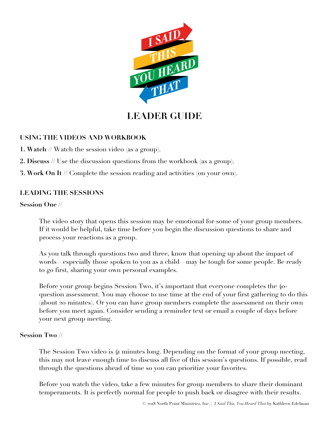

# **LEADER GUIDE**

# **USING THE VIDEOS AND WORKBOOK**

- **1. Watch //** Watch the session video (as a group).
- **2. Discuss //** Use the discussion questions from the workbook (as a group).
- **3. Work On It //** Complete the session reading and activities (on your own).

## **LEADING THE SESSIONS**

## **Session One //**

The video story that opens this session may be emotional for some of your group members. If it would be helpful, take time before you begin the discussion questions to share and process your reactions as a group.

As you talk through questions two and three, know that opening up about the impact of words—especially those spoken to you as a child—may be tough for some people. Be ready to go first, sharing your own personal examples.

Before your group begins Session Two, it's important that everyone completes the 40 question assessment. You may choose to use time at the end of your first gathering to do this (about 20 minutes). Or you can have group members complete the assessment on their own before you meet again. Consider sending a reminder text or email a couple of days before your next group meeting.

## **Session Two //**

The Session Two video is 41 minutes long. Depending on the format of your group meeting, this may not leave enough time to discuss all five of this session's questions. If possible, read through the questions ahead of time so you can prioritize your favorites.

Before you watch the video, take a few minutes for group members to share their dominant temperaments. It is perfectly normal for people to push back or disagree with their results.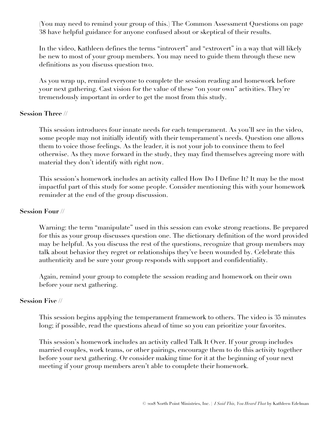(You may need to remind your group of this.) The Common Assessment Questions on page 38 have helpful guidance for anyone confused about or skeptical of their results.

In the video, Kathleen defines the terms "introvert" and "extrovert" in a way that will likely be new to most of your group members. You may need to guide them through these new definitions as you discuss question two.

As you wrap up, remind everyone to complete the session reading and homework before your next gathering. Cast vision for the value of these "on your own" activities. They're tremendously important in order to get the most from this study.

## **Session Three //**

This session introduces four innate needs for each temperament. As you'll see in the video, some people may not initially identify with their temperament's needs. Question one allows them to voice those feelings. As the leader, it is not your job to convince them to feel otherwise. As they move forward in the study, they may find themselves agreeing more with material they don't identify with right now.

This session's homework includes an activity called How Do I Define It? It may be the most impactful part of this study for some people. Consider mentioning this with your homework reminder at the end of the group discussion.

#### **Session Four //**

Warning: the term "manipulate" used in this session can evoke strong reactions. Be prepared for this as your group discusses question one. The dictionary definition of the word provided may be helpful. As you discuss the rest of the questions, recognize that group members may talk about behavior they regret or relationships they've been wounded by. Celebrate this authenticity and be sure your group responds with support and confidentiality.

Again, remind your group to complete the session reading and homework on their own before your next gathering.

#### **Session Five //**

This session begins applying the temperament framework to others. The video is 35 minutes long; if possible, read the questions ahead of time so you can prioritize your favorites.

This session's homework includes an activity called Talk It Over. If your group includes married couples, work teams, or other pairings, encourage them to do this activity together before your next gathering. Or consider making time for it at the beginning of your next meeting if your group members aren't able to complete their homework.